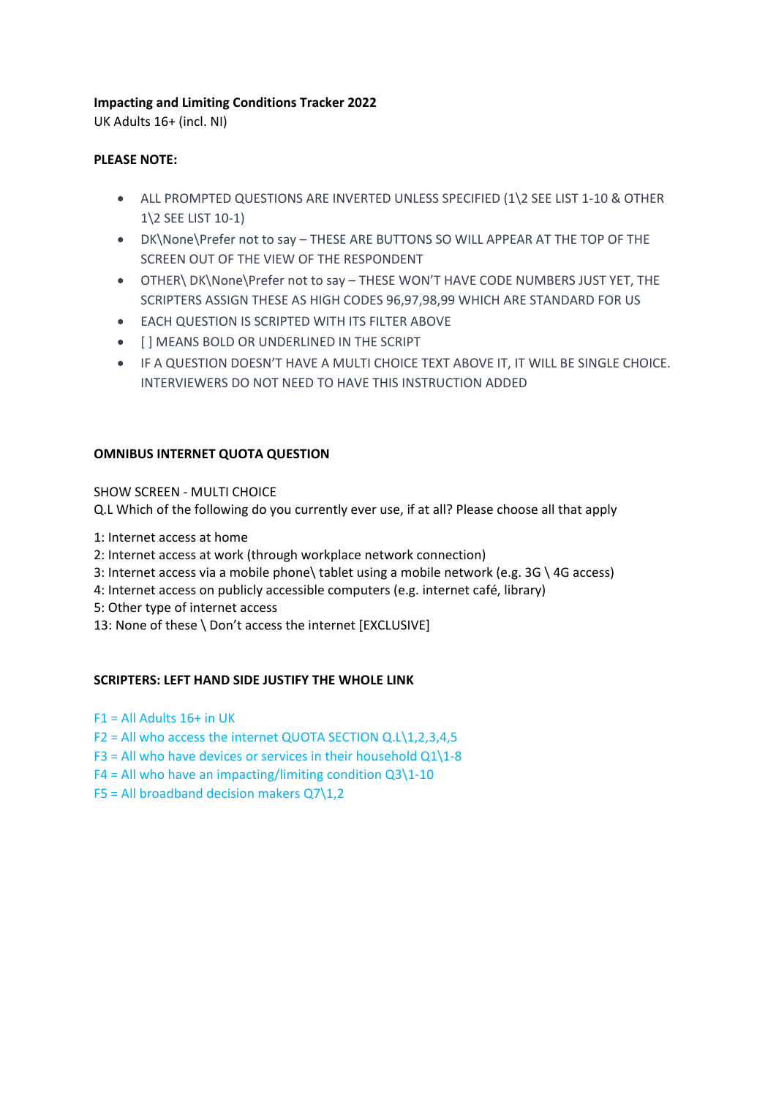## **Impacting and Limiting Conditions Tracker 2022**

UK Adults 16+ (incl. NI)

## **PLEASE NOTE:**

- ALL PROMPTED QUESTIONS ARE INVERTED UNLESS SPECIFIED (1\2 SEE LIST 1-10 & OTHER 1\2 SEE LIST 10-1)
- DK\None\Prefer not to say THESE ARE BUTTONS SO WILL APPEAR AT THE TOP OF THE SCREEN OUT OF THE VIEW OF THE RESPONDENT
- OTHER\ DK\None\Prefer not to say THESE WON'T HAVE CODE NUMBERS JUST YET, THE SCRIPTERS ASSIGN THESE AS HIGH CODES 96,97,98,99 WHICH ARE STANDARD FOR US
- EACH QUESTION IS SCRIPTED WITH ITS FILTER ABOVE
- [ ] MEANS BOLD OR UNDERLINED IN THE SCRIPT
- IF A QUESTION DOESN'T HAVE A MULTI CHOICE TEXT ABOVE IT, IT WILL BE SINGLE CHOICE. INTERVIEWERS DO NOT NEED TO HAVE THIS INSTRUCTION ADDED

# **OMNIBUS INTERNET QUOTA QUESTION**

SHOW SCREEN - MULTI CHOICE

Q.L Which of the following do you currently ever use, if at all? Please choose all that apply

1: Internet access at home

- 2: Internet access at work (through workplace network connection)
- 3: Internet access via a mobile phone\ tablet using a mobile network (e.g. 3G \ 4G access)
- 4: Internet access on publicly accessible computers (e.g. internet café, library)
- 5: Other type of internet access
- 13: None of these \ Don't access the internet [EXCLUSIVE]

# **SCRIPTERS: LEFT HAND SIDE JUSTIFY THE WHOLE LINK**

- $F1 = All$  All Adults  $16+$  in UK
- F2 = All who access the internet QUOTA SECTION Q.L\1,2,3,4,5
- $F3$  = All who have devices or services in their household Q1\1-8
- $F4 = All who have an imaginary limiting condition Q3\1-10$
- F5 = All broadband decision makers  $Q7\1,2$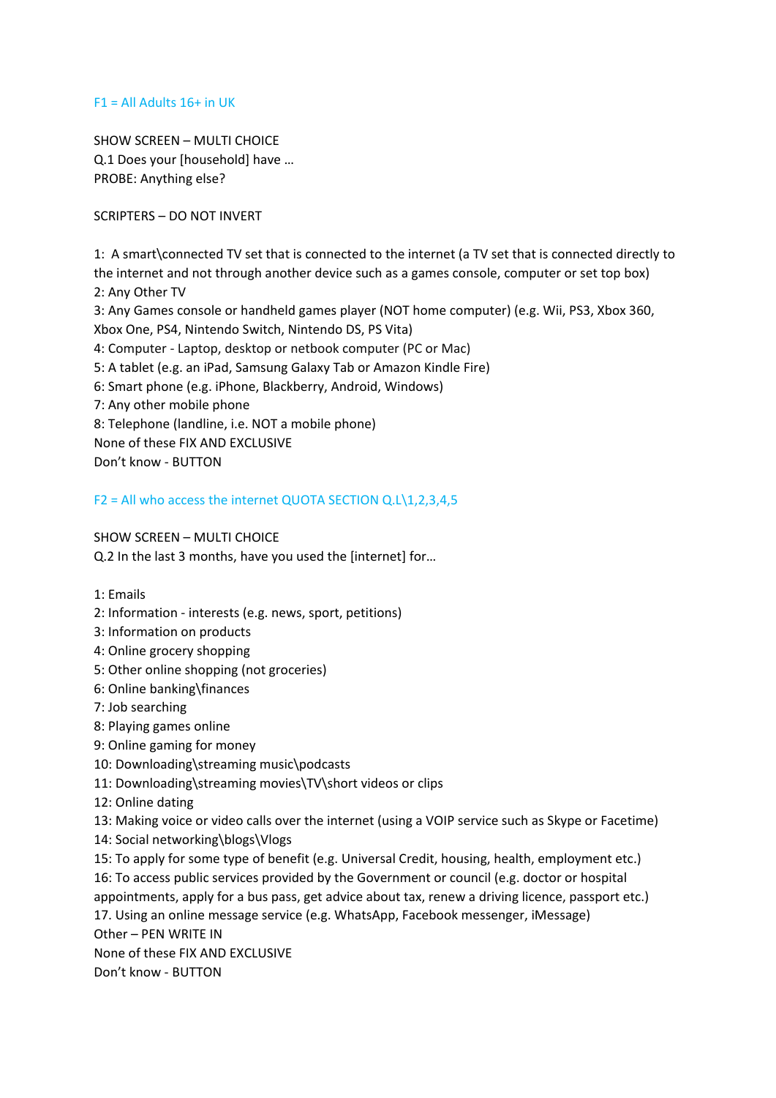#### $F1 = All$  Allacky  $16+$  in UK

SHOW SCREEN – MULTI CHOICE Q.1 Does your [household] have … PROBE: Anything else?

SCRIPTERS – DO NOT INVERT

1: A smart\connected TV set that is connected to the internet (a TV set that is connected directly to the internet and not through another device such as a games console, computer or set top box) 2: Any Other TV 3: Any Games console or handheld games player (NOT home computer) (e.g. Wii, PS3, Xbox 360, Xbox One, PS4, Nintendo Switch, Nintendo DS, PS Vita) 4: Computer - Laptop, desktop or netbook computer (PC or Mac) 5: A tablet (e.g. an iPad, Samsung Galaxy Tab or Amazon Kindle Fire) 6: Smart phone (e.g. iPhone, Blackberry, Android, Windows) 7: Any other mobile phone 8: Telephone (landline, i.e. NOT a mobile phone) None of these FIX AND EXCLUSIVE

Don't know - BUTTON

F2 = All who access the internet QUOTA SECTION Q.L\1,2,3,4,5

SHOW SCREEN – MULTI CHOICE

Q.2 In the last 3 months, have you used the [internet] for…

1: Emails

- 2: Information interests (e.g. news, sport, petitions)
- 3: Information on products
- 4: Online grocery shopping
- 5: Other online shopping (not groceries)
- 6: Online banking\finances
- 7: Job searching
- 8: Playing games online
- 9: Online gaming for money
- 10: Downloading\streaming music\podcasts
- 11: Downloading\streaming movies\TV\short videos or clips
- 12: Online dating

13: Making voice or video calls over the internet (using a VOIP service such as Skype or Facetime)

- 14: Social networking\blogs\Vlogs
- 15: To apply for some type of benefit (e.g. Universal Credit, housing, health, employment etc.) 16: To access public services provided by the Government or council (e.g. doctor or hospital appointments, apply for a bus pass, get advice about tax, renew a driving licence, passport etc.) 17. Using an online message service (e.g. WhatsApp, Facebook messenger, iMessage) Other – PEN WRITE IN None of these FIX AND EXCLUSIVE

Don't know - BUTTON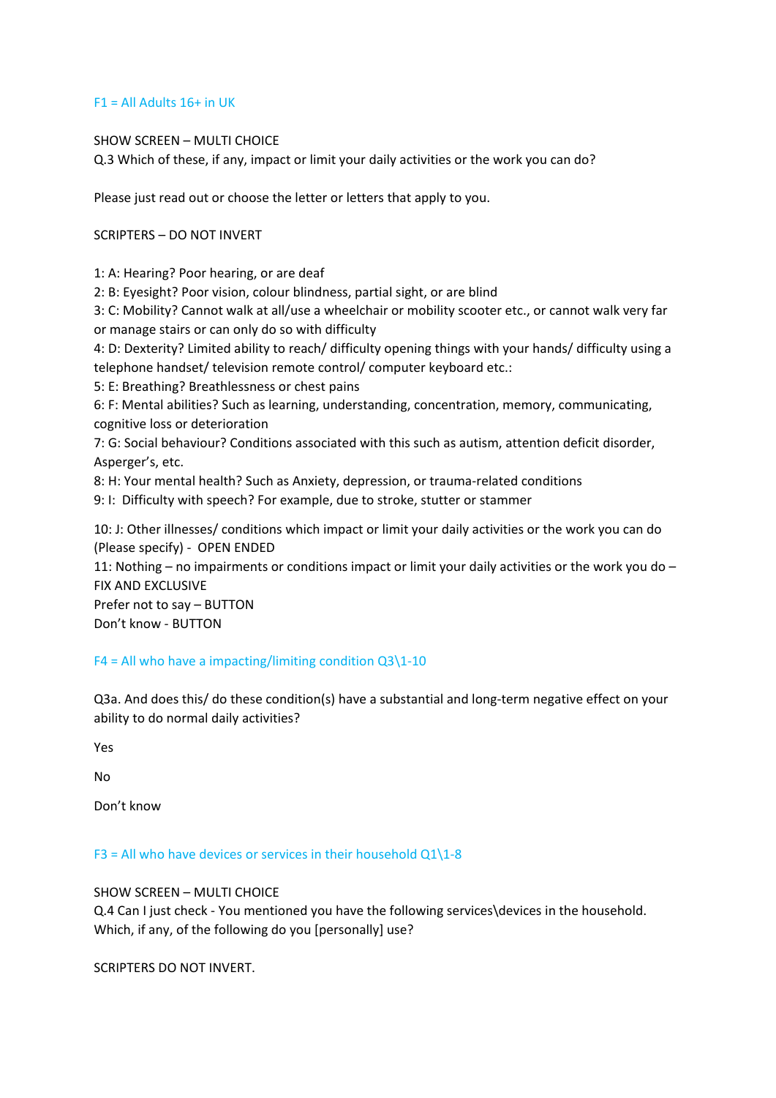#### $F1 = All$  Allacky  $16+$  in UK

#### SHOW SCREEN – MULTI CHOICE

Q.3 Which of these, if any, impact or limit your daily activities or the work you can do?

Please just read out or choose the letter or letters that apply to you.

## SCRIPTERS – DO NOT INVERT

1: A: Hearing? Poor hearing, or are deaf

2: B: Eyesight? Poor vision, colour blindness, partial sight, or are blind

3: C: Mobility? Cannot walk at all/use a wheelchair or mobility scooter etc., or cannot walk very far or manage stairs or can only do so with difficulty

4: D: Dexterity? Limited ability to reach/ difficulty opening things with your hands/ difficulty using a telephone handset/ television remote control/ computer keyboard etc.:

5: E: Breathing? Breathlessness or chest pains

6: F: Mental abilities? Such as learning, understanding, concentration, memory, communicating, cognitive loss or deterioration

7: G: Social behaviour? Conditions associated with this such as autism, attention deficit disorder, Asperger's, etc.

8: H: Your mental health? Such as Anxiety, depression, or trauma-related conditions

9: I: Difficulty with speech? For example, due to stroke, stutter or stammer

10: J: Other illnesses/ conditions which impact or limit your daily activities or the work you can do (Please specify) - OPEN ENDED

11: Nothing – no impairments or conditions impact or limit your daily activities or the work you do – FIX AND EXCLUSIVE

Prefer not to say – BUTTON Don't know - BUTTON

# $F4 = All who have a impacting/limiting condition Q3\1-10$

Q3a. And does this/ do these condition(s) have a substantial and long-term negative effect on your ability to do normal daily activities?

Yes

No

Don't know

F3 = All who have devices or services in their household Q1\1-8

SHOW SCREEN – MULTI CHOICE

Q.4 Can I just check - You mentioned you have the following services\devices in the household. Which, if any, of the following do you [personally] use?

SCRIPTERS DO NOT INVERT.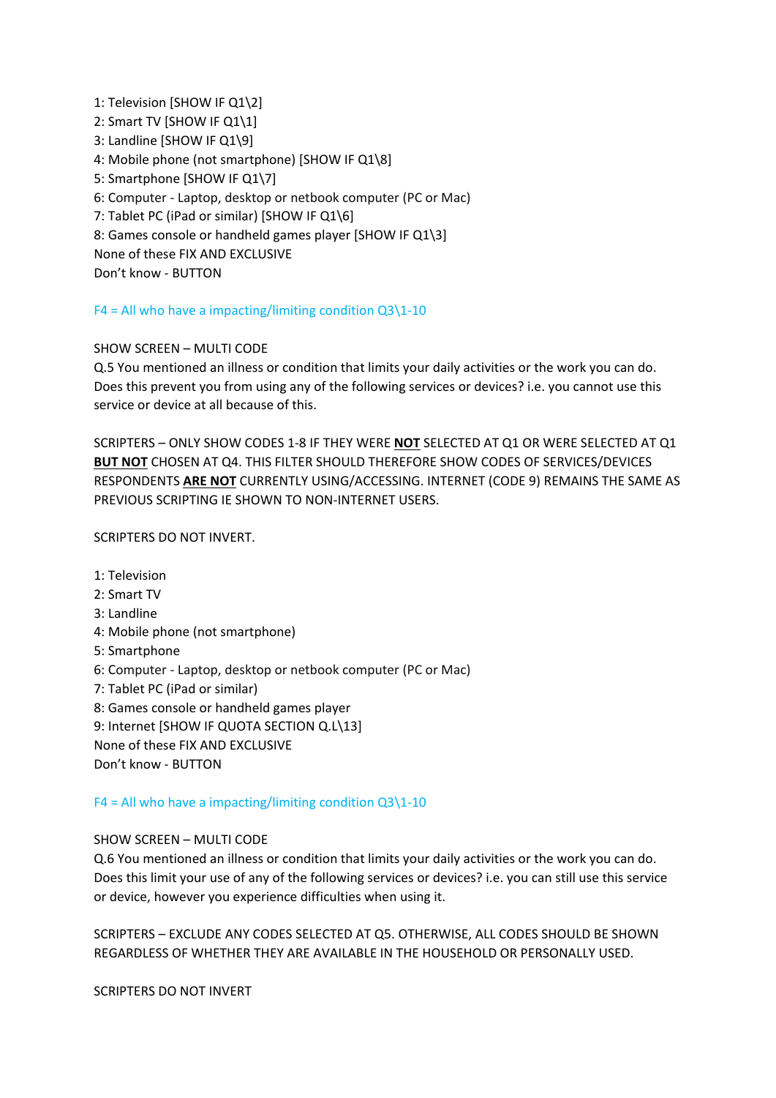1: Television [SHOW IF Q1\2] 2: Smart TV [SHOW IF Q1\1] 3: Landline [SHOW IF Q1\9] 4: Mobile phone (not smartphone) [SHOW IF Q1\8] 5: Smartphone [SHOW IF Q1\7] 6: Computer - Laptop, desktop or netbook computer (PC or Mac) 7: Tablet PC (iPad or similar) [SHOW IF Q1\6] 8: Games console or handheld games player [SHOW IF Q1\3] None of these FIX AND EXCLUSIVE

Don't know - BUTTON

# $F4 = All$  who have a impacting/limiting condition Q3\1-10

## SHOW SCREEN – MULTI CODE

Q.5 You mentioned an illness or condition that limits your daily activities or the work you can do. Does this prevent you from using any of the following services or devices? i.e. you cannot use this service or device at all because of this.

SCRIPTERS – ONLY SHOW CODES 1-8 IF THEY WERE **NOT** SELECTED AT Q1 OR WERE SELECTED AT Q1 **BUT NOT** CHOSEN AT Q4. THIS FILTER SHOULD THEREFORE SHOW CODES OF SERVICES/DEVICES RESPONDENTS **ARE NOT** CURRENTLY USING/ACCESSING. INTERNET (CODE 9) REMAINS THE SAME AS PREVIOUS SCRIPTING IE SHOWN TO NON-INTERNET USERS.

SCRIPTERS DO NOT INVERT.

- 1: Television
- 2: Smart TV
- 3: Landline
- 4: Mobile phone (not smartphone)
- 5: Smartphone
- 6: Computer Laptop, desktop or netbook computer (PC or Mac)
- 7: Tablet PC (iPad or similar)
- 8: Games console or handheld games player
- 9: Internet [SHOW IF QUOTA SECTION Q.L\13]
- None of these FIX AND EXCLUSIVE
- Don't know BUTTON

# $F4 = All$  who have a impacting/limiting condition  $Q3\1-10$

#### SHOW SCREEN – MULTI CODE

Q.6 You mentioned an illness or condition that limits your daily activities or the work you can do. Does this limit your use of any of the following services or devices? i.e. you can still use this service or device, however you experience difficulties when using it.

SCRIPTERS – EXCLUDE ANY CODES SELECTED AT Q5. OTHERWISE, ALL CODES SHOULD BE SHOWN REGARDLESS OF WHETHER THEY ARE AVAILABLE IN THE HOUSEHOLD OR PERSONALLY USED.

SCRIPTERS DO NOT INVERT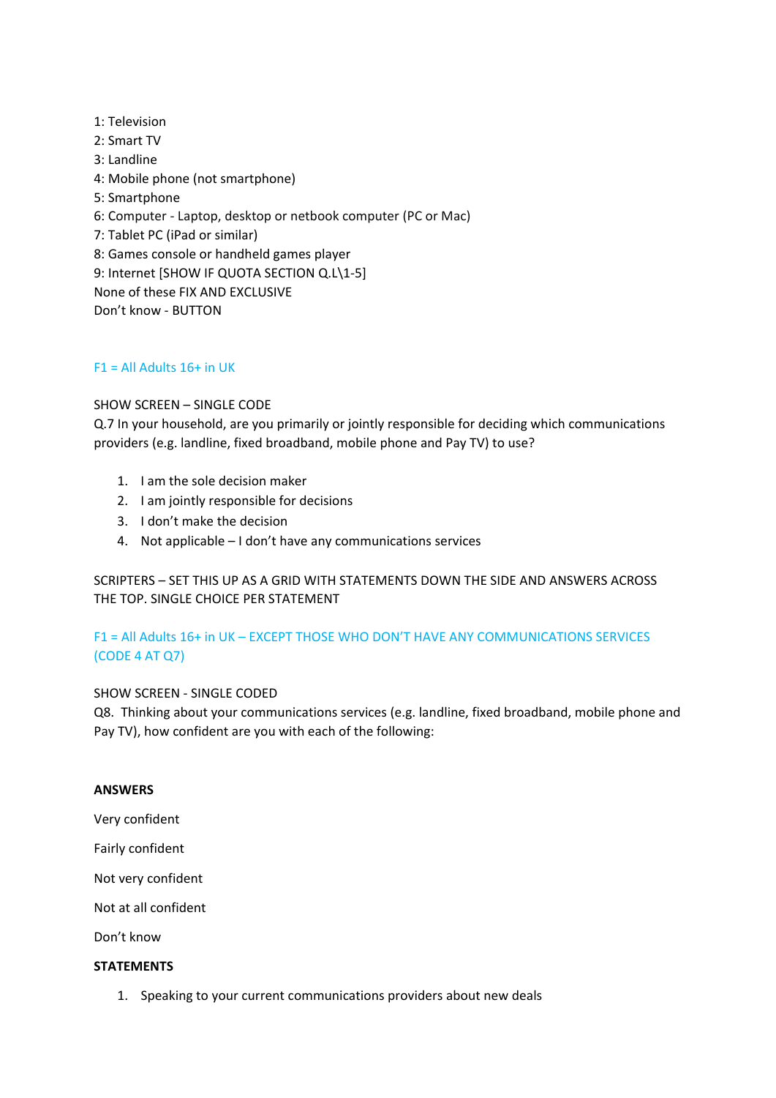1: Television 2: Smart TV 3: Landline 4: Mobile phone (not smartphone) 5: Smartphone 6: Computer - Laptop, desktop or netbook computer (PC or Mac) 7: Tablet PC (iPad or similar) 8: Games console or handheld games player 9: Internet [SHOW IF QUOTA SECTION Q.L\1-5] None of these FIX AND EXCLUSIVE Don't know - BUTTON

# $F1 = All$  Allaholts 16+ in UK

#### SHOW SCREEN – SINGLE CODE

Q.7 In your household, are you primarily or jointly responsible for deciding which communications providers (e.g. landline, fixed broadband, mobile phone and Pay TV) to use?

- 1. I am the sole decision maker
- 2. I am jointly responsible for decisions
- 3. I don't make the decision
- 4. Not applicable I don't have any communications services

SCRIPTERS – SET THIS UP AS A GRID WITH STATEMENTS DOWN THE SIDE AND ANSWERS ACROSS THE TOP. SINGLE CHOICE PER STATEMENT

# F1 = All Adults 16+ in UK – EXCEPT THOSE WHO DON'T HAVE ANY COMMUNICATIONS SERVICES (CODE 4 AT Q7)

#### SHOW SCREEN - SINGLE CODED

Q8. Thinking about your communications services (e.g. landline, fixed broadband, mobile phone and Pay TV), how confident are you with each of the following:

#### **ANSWERS**

Very confident

Fairly confident

Not very confident

Not at all confident

Don't know

#### **STATEMENTS**

1. Speaking to your current communications providers about new deals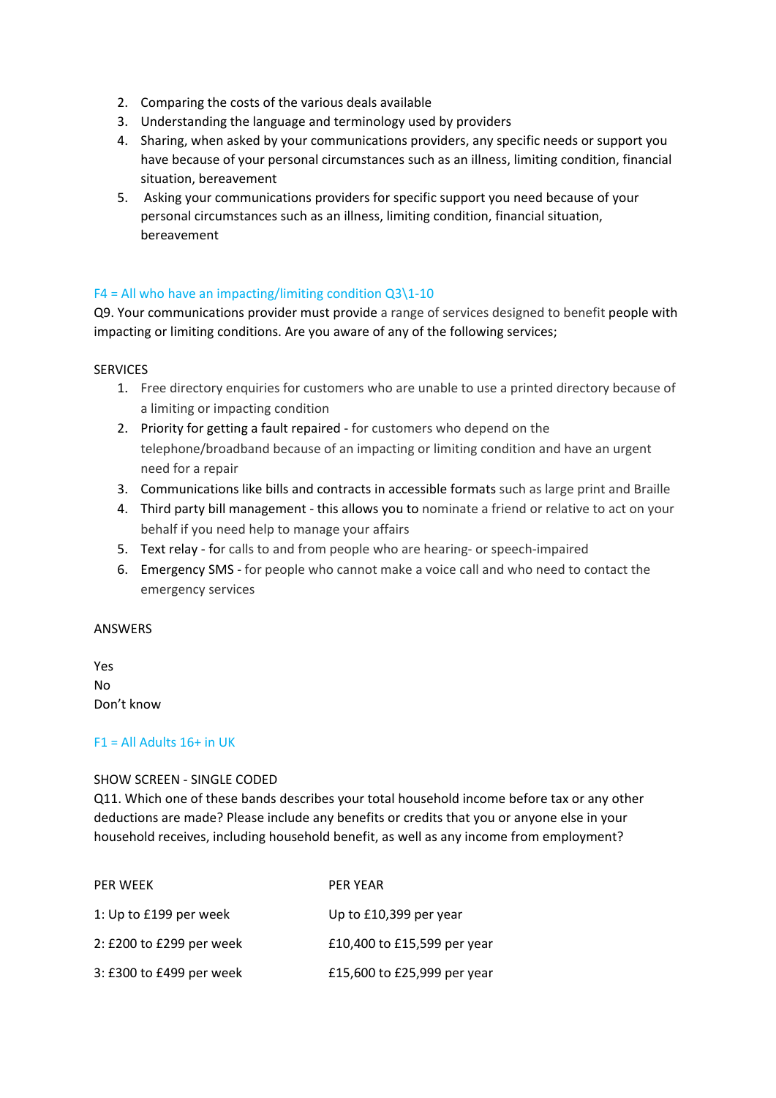- 2. Comparing the costs of the various deals available
- 3. Understanding the language and terminology used by providers
- 4. Sharing, when asked by your communications providers, any specific needs or support you have because of your personal circumstances such as an illness, limiting condition, financial situation, bereavement
- 5. Asking your communications providers for specific support you need because of your personal circumstances such as an illness, limiting condition, financial situation, bereavement

## $F4 = All$  who have an impacting/limiting condition  $Q3\1-10$

Q9. Your communications provider must provide a range of services designed to benefit people with impacting or limiting conditions. Are you aware of any of the following services;

#### **SERVICES**

- 1. Free directory enquiries for customers who are unable to use a printed directory because of a limiting or impacting condition
- 2. Priority for getting a fault repaired for customers who depend on the telephone/broadband because of an impacting or limiting condition and have an urgent need for a repair
- 3. Communications like bills and contracts in accessible formats such as large print and Braille
- 4. Third party bill management this allows you to nominate a friend or relative to act on your behalf if you need help to manage your affairs
- 5. Text relay for calls to and from people who are hearing- or speech-impaired
- 6. Emergency SMS for people who cannot make a voice call and who need to contact the emergency services

#### ANSWERS

Yes No Don't know

#### $F1 = All$  Allacky  $16+$  in UK

#### SHOW SCREEN - SINGLE CODED

Q11. Which one of these bands describes your total household income before tax or any other deductions are made? Please include any benefits or credits that you or anyone else in your household receives, including household benefit, as well as any income from employment?

| <b>PER WEEK</b>          | <b>PER YEAR</b>             |
|--------------------------|-----------------------------|
| 1: Up to £199 per week   | Up to £10,399 per year      |
| 2: £200 to £299 per week | £10,400 to £15,599 per year |
| 3: £300 to £499 per week | £15,600 to £25,999 per year |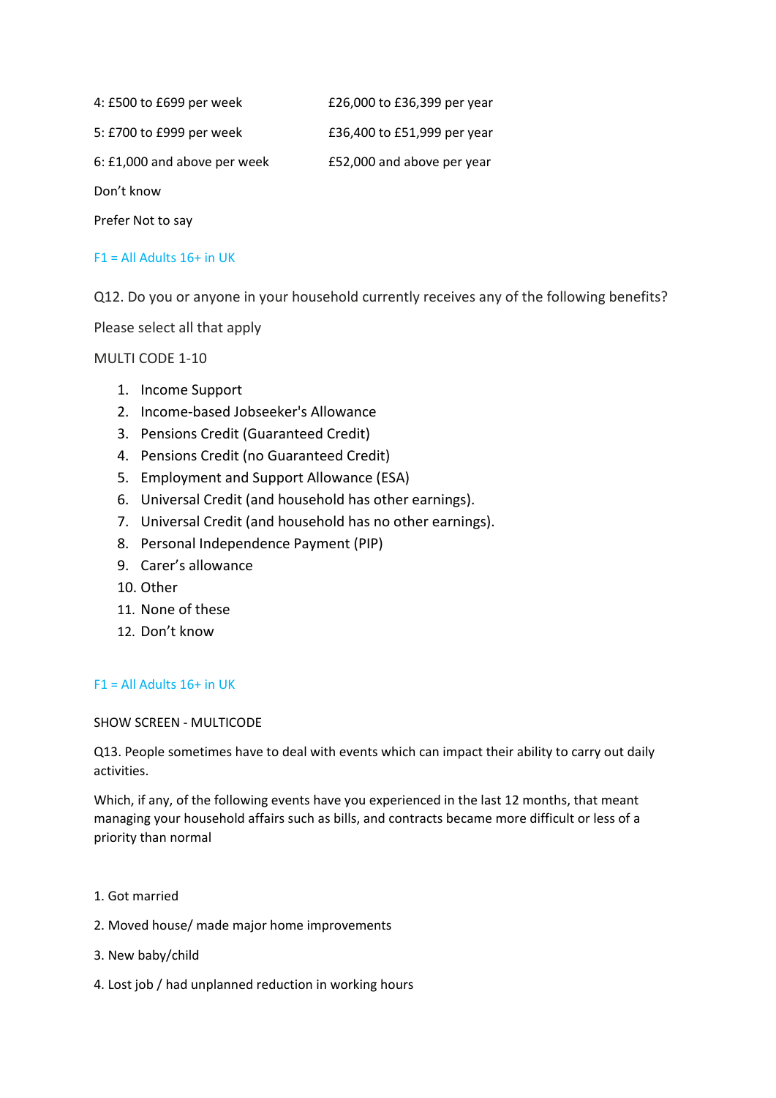4: £500 to £699 per week £26,000 to £36,399 per year

5: £700 to £999 per week £36,400 to £51,999 per year

6: £1,000 and above per week £52,000 and above per year

Don't know

Prefer Not to say

## $F1 = All$  Allaholts 16+ in UK

Q12. Do you or anyone in your household currently receives any of the following benefits?

Please select all that apply

MULTI CODE 1-10

- 1. Income Support
- 2. Income-based Jobseeker's Allowance
- 3. Pensions Credit (Guaranteed Credit)
- 4. Pensions Credit (no Guaranteed Credit)
- 5. Employment and Support Allowance (ESA)
- 6. Universal Credit (and household has other earnings).
- 7. Universal Credit (and household has no other earnings).
- 8. Personal Independence Payment (PIP)
- 9. Carer's allowance
- 10. Other
- 11. None of these
- 12. Don't know

#### $F1 = All$  Allaholts 16+ in UK

SHOW SCREEN - MULTICODE

Q13. People sometimes have to deal with events which can impact their ability to carry out daily activities.

Which, if any, of the following events have you experienced in the last 12 months, that meant managing your household affairs such as bills, and contracts became more difficult or less of a priority than normal

- 1. Got married
- 2. Moved house/ made major home improvements
- 3. New baby/child
- 4. Lost job / had unplanned reduction in working hours